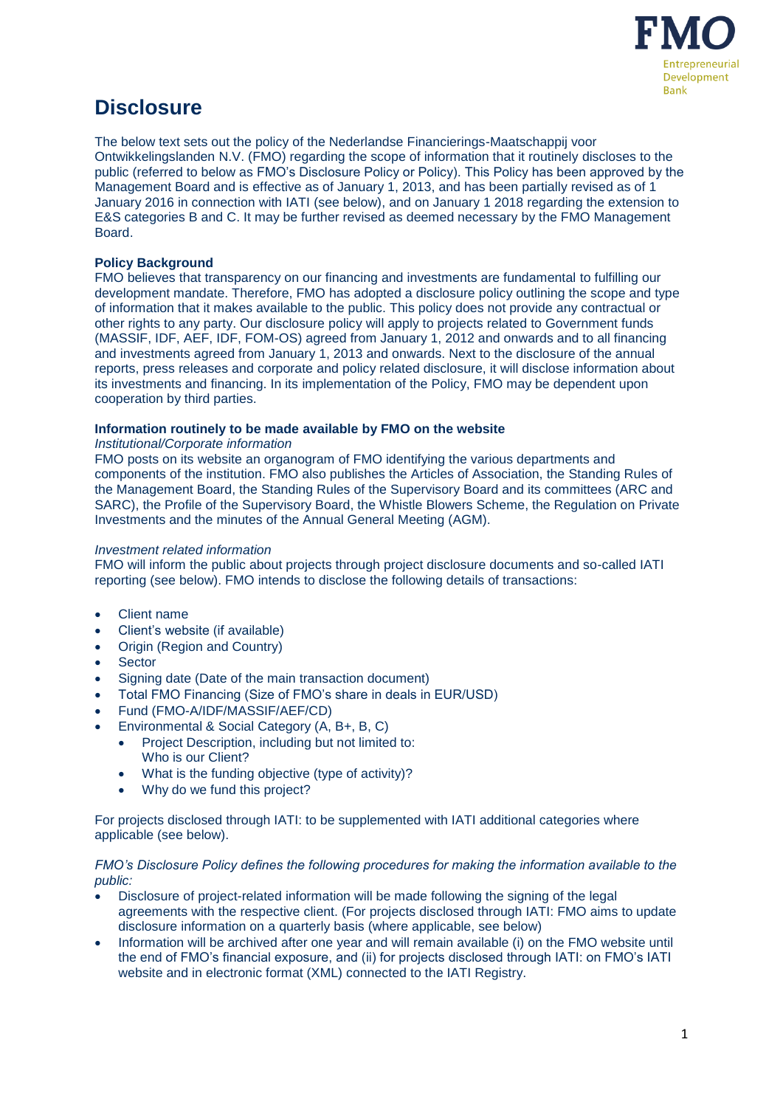

# **Disclosure**

The below text sets out the policy of the Nederlandse Financierings-Maatschappij voor Ontwikkelingslanden N.V. (FMO) regarding the scope of information that it routinely discloses to the public (referred to below as FMO's Disclosure Policy or Policy). This Policy has been approved by the Management Board and is effective as of January 1, 2013, and has been partially revised as of 1 January 2016 in connection with IATI (see below), and on January 1 2018 regarding the extension to E&S categories B and C. It may be further revised as deemed necessary by the FMO Management Board.

## **Policy Background**

FMO believes that transparency on our financing and investments are fundamental to fulfilling our development mandate. Therefore, FMO has adopted a disclosure policy outlining the scope and type of information that it makes available to the public. This policy does not provide any contractual or other rights to any party. Our disclosure policy will apply to projects related to Government funds (MASSIF, IDF, AEF, IDF, FOM-OS) agreed from January 1, 2012 and onwards and to all financing and investments agreed from January 1, 2013 and onwards. Next to the disclosure of the annual reports, press releases and corporate and policy related disclosure, it will disclose information about its investments and financing. In its implementation of the Policy, FMO may be dependent upon cooperation by third parties.

### **Information routinely to be made available by FMO on the website**

#### *Institutional/Corporate information*

FMO posts on its website an organogram of FMO identifying the various departments and components of the institution. FMO also publishes the Articles of Association, the Standing Rules of the Management Board, the Standing Rules of the Supervisory Board and its committees (ARC and SARC), the Profile of the Supervisory Board, the Whistle Blowers Scheme, the Regulation on Private Investments and the minutes of the Annual General Meeting (AGM).

#### *Investment related information*

FMO will inform the public about projects through project disclosure documents and so-called IATI reporting (see below). FMO intends to disclose the following details of transactions:

- Client name
- Client's website (if available)
- Origin (Region and Country)
- Sector
- Signing date (Date of the main transaction document)
- Total FMO Financing (Size of FMO's share in deals in EUR/USD)
- Fund (FMO-A/IDF/MASSIF/AEF/CD)
- Environmental & Social Category (A, B+, B, C)
	- Project Description, including but not limited to: Who is our Client?
	- What is the funding objective (type of activity)?
	- Why do we fund this project?

For projects disclosed through IATI: to be supplemented with IATI additional categories where applicable (see below).

#### *FMO's Disclosure Policy defines the following procedures for making the information available to the public:*

- Disclosure of project-related information will be made following the signing of the legal agreements with the respective client. (For projects disclosed through IATI: FMO aims to update disclosure information on a quarterly basis (where applicable, see below)
- Information will be archived after one year and will remain available (i) on the FMO website until the end of FMO's financial exposure, and (ii) for projects disclosed through IATI: on FMO's IATI website and in electronic format (XML) connected to the IATI Registry.